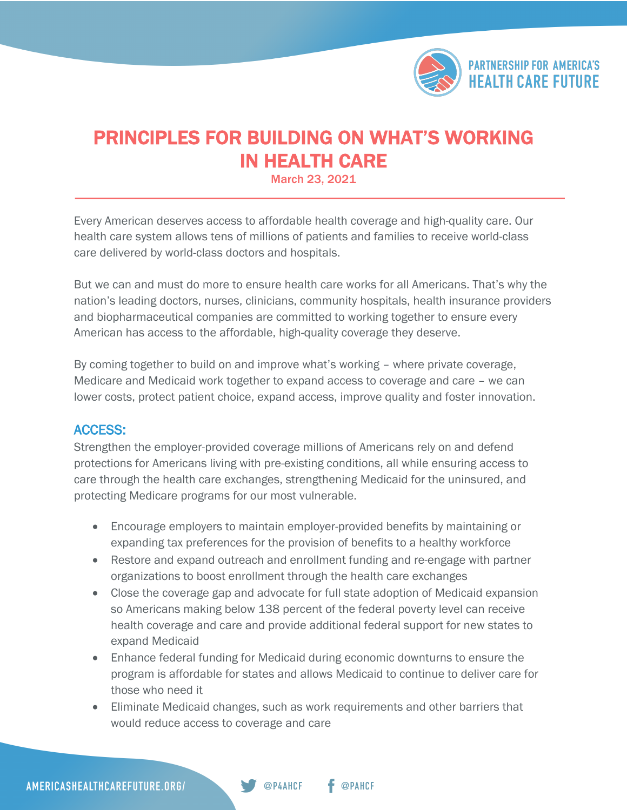

## PRINCIPLES FOR BUILDING ON WHAT'S WORKING **IN HEALTH CARE**<br>March 23, 2021

Every American deserves access to affordable health coverage and high-quality care. Our health care system allows tens of millions of patients and families to receive world-class care delivered by world-class doctors and hospitals.

But we can and must do more to ensure health care works for all Americans. That's why the nation's leading doctors, nurses, clinicians, community hospitals, health insurance providers and biopharmaceutical companies are committed to working together to ensure every American has access to the affordable, high-quality coverage they deserve.

By coming together to build on and improve what's working – where private coverage, Medicare and Medicaid work together to expand access to coverage and care – we can lower costs, protect patient choice, expand access, improve quality and foster innovation.

## ACCESS:

Strengthen the employer-provided coverage millions of Americans rely on and defend protections for Americans living with pre-existing conditions, all while ensuring access to care through the health care exchanges, strengthening Medicaid for the uninsured, and protecting Medicare programs for our most vulnerable.

- Encourage employers to maintain employer-provided benefits by maintaining or expanding tax preferences for the provision of benefits to a healthy workforce
- Restore and expand outreach and enrollment funding and re-engage with partner organizations to boost enrollment through the health care exchanges
- Close the coverage gap and advocate for full state adoption of Medicaid expansion so Americans making below 138 percent of the federal poverty level can receive health coverage and care and provide additional federal support for new states to expand Medicaid
- Enhance federal funding for Medicaid during economic downturns to ensure the program is affordable for states and allows Medicaid to continue to deliver care for those who need it
- Eliminate Medicaid changes, such as work requirements and other barriers that would reduce access to coverage and care

@P4AHCF

@PAHCF

AMERICASHEALTHCAREFUTURE.ORG/